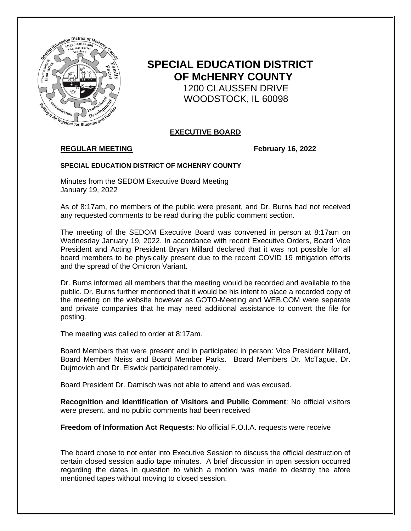

# **SPECIAL EDUCATION DISTRICT OF McHENRY COUNTY** 1200 CLAUSSEN DRIVE WOODSTOCK, IL 60098

## **EXECUTIVE BOARD**

# **REGULAR MEETING February 16, 2022**

### **SPECIAL EDUCATION DISTRICT OF MCHENRY COUNTY**

Minutes from the SEDOM Executive Board Meeting January 19, 2022

As of 8:17am, no members of the public were present, and Dr. Burns had not received any requested comments to be read during the public comment section.

The meeting of the SEDOM Executive Board was convened in person at 8:17am on Wednesday January 19, 2022. In accordance with recent Executive Orders, Board Vice President and Acting President Bryan Millard declared that it was not possible for all board members to be physically present due to the recent COVID 19 mitigation efforts and the spread of the Omicron Variant.

Dr. Burns informed all members that the meeting would be recorded and available to the public. Dr. Burns further mentioned that it would be his intent to place a recorded copy of the meeting on the website however as GOTO-Meeting and WEB.COM were separate and private companies that he may need additional assistance to convert the file for posting.

The meeting was called to order at 8:17am.

Board Members that were present and in participated in person: Vice President Millard, Board Member Neiss and Board Member Parks. Board Members Dr. McTague, Dr. Dujmovich and Dr. Elswick participated remotely.

Board President Dr. Damisch was not able to attend and was excused.

**Recognition and Identification of Visitors and Public Comment**: No official visitors were present, and no public comments had been received

**Freedom of Information Act Requests**: No official F.O.I.A. requests were receive

The board chose to not enter into Executive Session to discuss the official destruction of certain closed session audio tape minutes. A brief discussion in open session occurred regarding the dates in question to which a motion was made to destroy the afore mentioned tapes without moving to closed session.